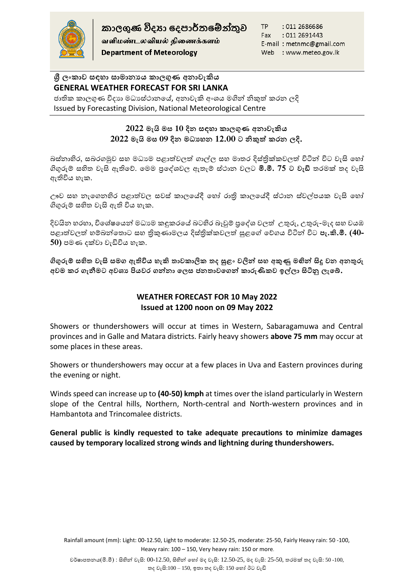

வளிமண்டலவியல் திணைக்களம் **Department of Meteorology** 

TP : 011 2686686 : 011 2691443 Fax E-mail: metnmc@gmail.com Web : www.meteo.gov.lk

# **ශ්රී ලංකාව සඳහා සාමානයය කාලගුණ අනාවැකිය GENERAL WEATHER FORECAST FOR SRI LANKA**

ජාතික කාලගුණ විදාහ මධාස්ථානයේ, අනාවැකි අංශය මගින් නිකුත් කරන ලදි Issued by Forecasting Division, National Meteorological Centre

# **2022 මැයි මස 10 දින සඳහා කාලගුණ අනාවැකිය 2022 මැයි මස 09 දින මධ්යහන 12.00 ට නිකුත් කරන ලදි.**

බස්නාහිර, සබරගමුව සහ මධාාම පළාත්වලත් ගාල්ල සහ මාතර දිස්තිුක්කවලත් විටින් විට වැසි හෝ ගිගුරුම් සහිත වැසි ඇතිහේ. හමම ප්රහශවවල ඇතැම් ස්ාාන වලට **මි.මී. 75 ට වැඩි** තරමක් තද වැසි ඇතිවිය හැක.

ඌව සහ නැගෙනහිර පළාත්වල සවස් කාලයේදී හෝ රාති කාලයේදී ස්ථාන ස්වල්පයක වැසි හෝ ගිගුරුම් සහිත වැසි ඇති විය හැක.

දිවයින හරහා, විශේෂයෙන් මධාාම කඳුකරයේ බටහිර බෑවුම් පුදේශ වලත් උතුරු, උතුරු-මැද සහ වයඹ පළාත්වලත් හම්බන්තොට සහ තිකුණාමලය දිස්තික්කවලත් සුළගේ වේගය විටින් විට **පැ.කි.මී. (40-**50) පමණ දක්වා වැඩිවිය හැක.

**ගිගුරුම් සහිත වැසි සමග ඇතිවිය හැකි තාවකාලික තද සුළං වලින් සහ අකුණු මඟින් සිදු වන අනතුරු**  අවම කර ගැනීමට අවශා පියවර ගන්නා ලෙස ජනතාවගෙන් කාරුණිකව ඉල්ලා සිටිනු ලැබේ.

# **WEATHER FORECAST FOR 10 May 2022 Issued at 1200 noon on 09 May 2022**

Showers or thundershowers will occur at times in Western, Sabaragamuwa and Central provinces and in Galle and Matara districts. Fairly heavy showers **above 75 mm** may occur at some places in these areas.

Showers or thundershowers may occur at a few places in Uva and Eastern provinces during the evening or night.

Winds speed can increase up to **(40-50) kmph** at times over the island particularly in Western slope of the Central hills, Northern, North-central and North-western provinces and in Hambantota and Trincomalee districts.

### **General public is kindly requested to take adequate precautions to minimize damages caused by temporary localized strong winds and lightning during thundershowers.**

Rainfall amount (mm): Light: 00-12.50, Light to moderate: 12.50-25, moderate: 25-50, Fairly Heavy rain: 50 -100, Heavy rain: 100 – 150, Very heavy rain: 150 or more.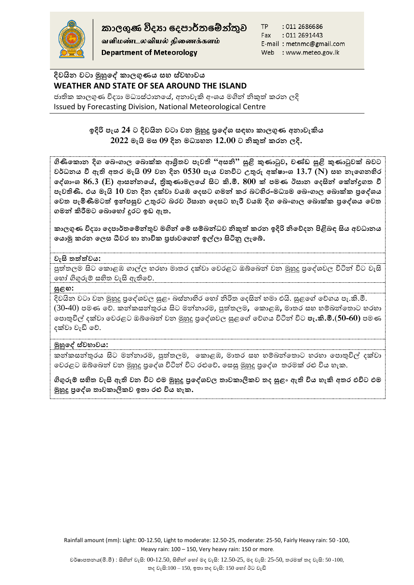

කාලගුණ විදහා දෙපාර්තමේන්තුව

வளிமண்டலவியல் திணைக்களம் **Department of Meteorology** 

TP : 011 2686686 Fax : 011 2691443 E-mail: metnmc@gmail.com Web : www.meteo.gov.lk

# **දිවයින වටා මුහුෙේ කාලගුණය සහ ස්වභාවය WEATHER AND STATE OF SEA AROUND THE ISLAND**

ජාතික කාලගුණ විදාහ මධාස්ථානයේ, අනාවැකි අංශය මගින් නිකුත් කරන ලදි Issued by Forecasting Division, National Meteorological Centre

# **ලදිරි පැය 24 ට දිවයින වටා වන මුහුදු ප්රෙේශ් සඳහා කාලගුණ අනාවැකිය 2022 මැයි මස 09 දින මධ්යහන 12.00 ට නිකුත් කරන ලදි.**

**ගිිකෙකාන දිග ෙ ංගාල ෙ ාක්ක ආශ්රිතව පැවති "අසනි" සුළි කුණාටුව, චණ්ඩ සුළි කුණාටුවක් වට වර්ධ්නය වී ඇති අතර මැයි 09 වන දින 0530 පැය වනවිට උතුරු අක්්ාංශ් 13.7 (N) සහ නැෙගනහිර ෙේශ්ාංශ් 86.3 (E) ආසන්නෙේ, ත්රිකුණාමලෙේ සිට කි.මී. 800 ක් පමණ ඊසාන ෙදසින් ෙක්න්රගත වී**  පැවතිණි. එය මැයි 10 වන දින දක්වා වයඹ දෙසට ගමන් කර බටහිර-මධාාම බෙංගාල බොක්ක පු**දේශය ෙවත පැමිණීමටත් ලන්පසුව උතුරට රව ඊසාන ෙදසට හැරී වයඹ දිග ෙ ංගාල ෙ ාක්ක ප්රෙේශ්ය ෙවත ගමන් කිරීමට ෙ ාෙහෝ දුරට ලඩ ඇත.** 

**කාලගුණ විදයා ෙදපාර්තෙම්න්තුව මගින් ෙම් සම් න්ධ්ව නිකුත් කරන ලදිරි නිෙනදන ියළි ඳ සිය අවධ්ානය ෙයාමු කරන ෙලස ධීවර හා නාවික ප්රනාවෙගන් ල්ලා සිිනු ලැෙ .**

### **වැසි තත්ත්වය:**

පුත්තලම සිට කොළඹ ගාල්ල හරහා මාතර දක්වා වෙරළට ඔබ්බෙන් වන මුහුදු පුදේශවල විටින් විට වැසි හ ෝ ගිගුරුම් සහිත වැසි ඇතිහේ.

### **සුළඟ:**

දිවයින වටා වන මුහුදු පුදේශවල සුළං බස්නාහිර හෝ නිරිත දෙසින් හමා එයි. සුළගේ වේගය පැ.කි.මී. (30-40) පමණ වේ. කන්කසන්තුරය සිට මන්නාරම, පුත්තලම, කොළඹ, මාතර සහ හම්බන්තොට හරහා හපාතුවිල් දක්වා හවරළට ඔබ්හබන් වන මුහුදු ප්රහශවවල ළගළහව හේගය විටින් විට **පැ.කි.මී.**(**50-60)** පමම දක්වා වැඩි හේ.

### **මුහුෙේ ස්වභාවය:**

කන්කසන්තුරය සිට මන්නාරම, පුත්තලම, කොළඹ, මාතර සහ හම්බන්තොට හරහා පොතුවිල් දක්වා වෙරළට ඔබ්බෙන් වන මුහුදු පුදේශ විටින් විට රළුවේ. හෙසු මුහුදු පුදේශ තරමක් රළු විය හැක.

**ගිගුරුම් සහිත වැසි ඇති වන විට එම මුහුදු ප්රෙේශ්වල තාවකාලිකව තද සුළං ඇති විය හැකි අතර එවිට එම මුහුදු ප්රෙේශ් තාවකාලිකව ලතා රු විය හැක.**